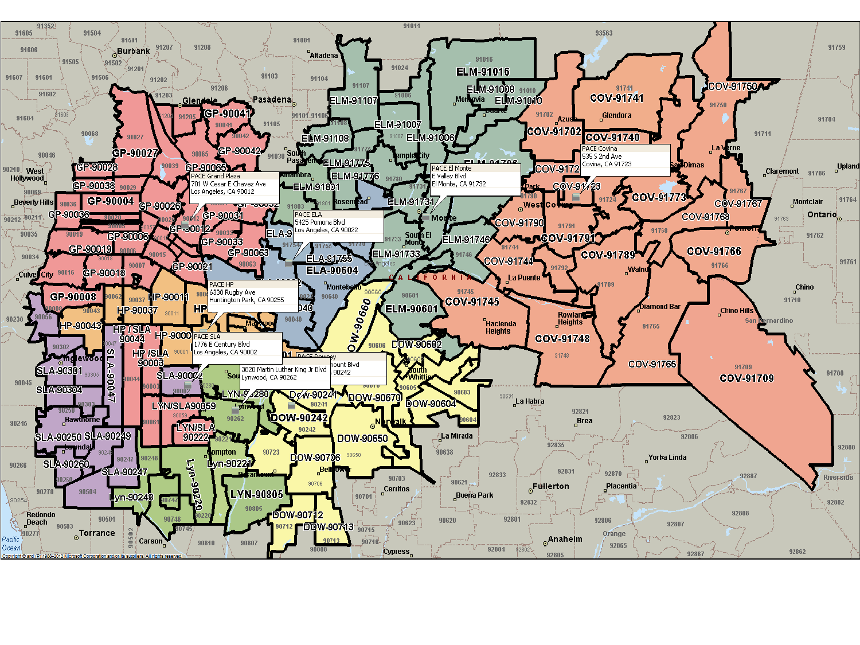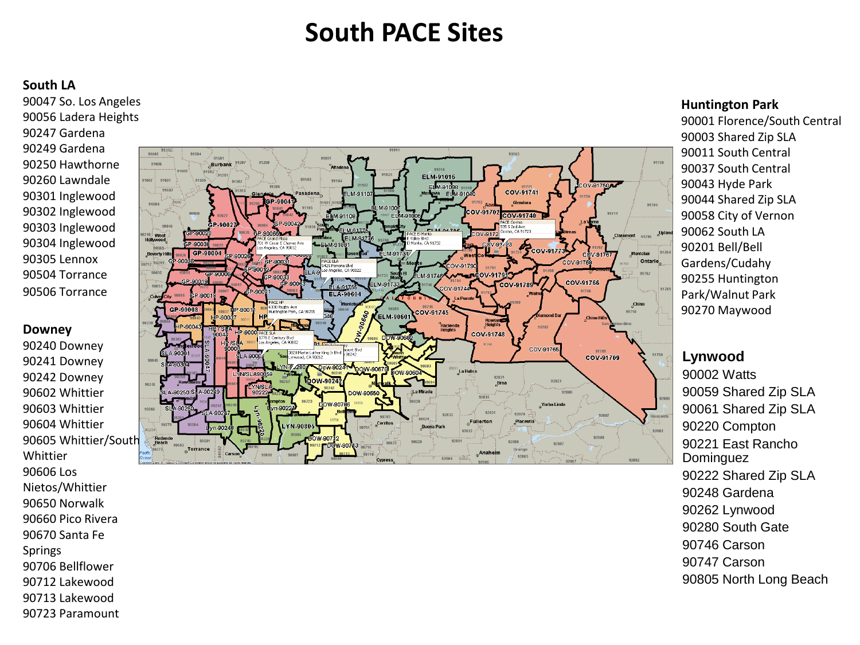# **South PACE Sites**

#### **South LA**

90047 So. Los Angeles 90056 Ladera Heights 90247 Gardena 90249 Gardena 90250 Hawthorne 90260 Lawndale 90301 Inglewood 90302 Inglewood 90303 Inglewood 90304 Inglewood 90305 Lennox 90504 Torrance 90506 Torrance

#### **Downey**

90240 Downey 90241 Downey 90242 Downey 90602 Whittier 90603 Whittier 90604 Whittier 90605 Whittier/South Whittier 90606 Los Nietos/Whittier 90650 Norwalk 90660 Pico Rivera 90670 Santa Fe Springs 90706 Bellflower 90712 Lakewood 90713 Lakewood 90723 Paramount



#### **Huntington Park**

90001 Florence/South Central 90003 Shared Zip SLA 90011 South Central 90037 South Central 90043 Hyde Park 90044 Shared Zip SLA 90058 City of Vernon 90062 South LA 90201 Bell/Bell Gardens/Cudahy 90255 Huntington Park/Walnut Park 90270 Maywood

## **Lynwood**

90002 Watts 90059 Shared Zip SLA 90061 Shared Zip SLA 90220 Compton 90221 East Rancho Dominguez 90222 Shared Zip SLA 90248 Gardena 90262 Lynwood 90280 South Gate 90746 Carson 90747 Carson 90805 North Long Beach